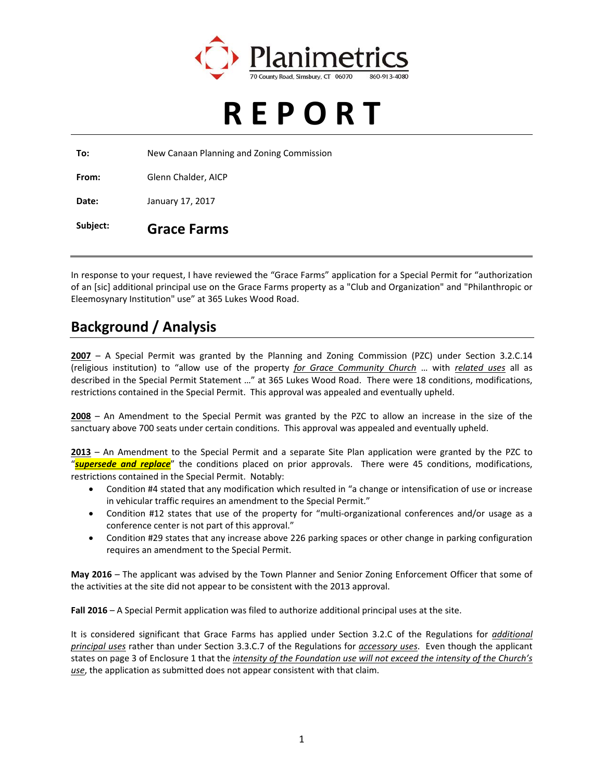

# **R E P O R T**

**To:** New Canaan Planning and Zoning Commission

**From:** Glenn Chalder, AICP

**Date:** January 17, 2017

#### **Subject: Grace Farms**

In response to your request, I have reviewed the "Grace Farms" application for a Special Permit for "authorization of an [sic] additional principal use on the Grace Farms property as a "Club and Organization" and "Philanthropic or Eleemosynary Institution" use" at 365 Lukes Wood Road.

#### **Background / Analysis**

**2007** – A Special Permit was granted by the Planning and Zoning Commission (PZC) under Section 3.2.C.14 (religious institution) to "allow use of the property *for Grace Community Church* … with *related uses* all as described in the Special Permit Statement …" at 365 Lukes Wood Road. There were 18 conditions, modifications, restrictions contained in the Special Permit. This approval was appealed and eventually upheld.

**2008** – An Amendment to the Special Permit was granted by the PZC to allow an increase in the size of the sanctuary above 700 seats under certain conditions. This approval was appealed and eventually upheld.

**2013** – An Amendment to the Special Permit and a separate Site Plan application were granted by the PZC to "*supersede and replace*" the conditions placed on prior approvals. There were 45 conditions, modifications, restrictions contained in the Special Permit. Notably:

- Condition #4 stated that any modification which resulted in "a change or intensification of use or increase in vehicular traffic requires an amendment to the Special Permit."
- Condition #12 states that use of the property for "multi-organizational conferences and/or usage as a conference center is not part of this approval."
- Condition #29 states that any increase above 226 parking spaces or other change in parking configuration requires an amendment to the Special Permit.

**May 2016** – The applicant was advised by the Town Planner and Senior Zoning Enforcement Officer that some of the activities at the site did not appear to be consistent with the 2013 approval.

**Fall 2016** – A Special Permit application was filed to authorize additional principal uses at the site.

It is considered significant that Grace Farms has applied under Section 3.2.C of the Regulations for *additional principal uses* rather than under Section 3.3.C.7 of the Regulations for *accessory uses*. Even though the applicant states on page 3 of Enclosure 1 that the *intensity of the Foundation use will not exceed the intensity of the Church's use*, the application as submitted does not appear consistent with that claim.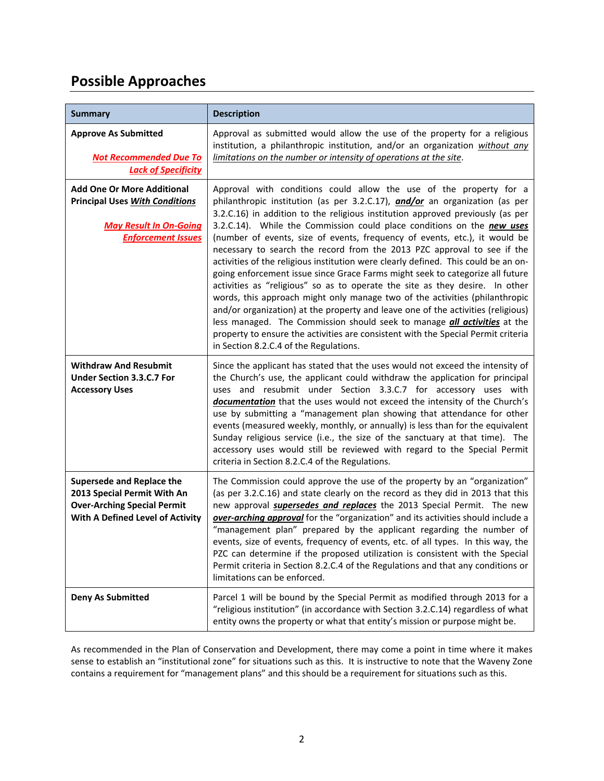## **Possible Approaches**

| <b>Summary</b>                                                                                                                           | <b>Description</b>                                                                                                                                                                                                                                                                                                                                                                                                                                                                                                                                                                                                                                                                                                                                                                                                                                                                                                                                                                                                                                                                                                        |
|------------------------------------------------------------------------------------------------------------------------------------------|---------------------------------------------------------------------------------------------------------------------------------------------------------------------------------------------------------------------------------------------------------------------------------------------------------------------------------------------------------------------------------------------------------------------------------------------------------------------------------------------------------------------------------------------------------------------------------------------------------------------------------------------------------------------------------------------------------------------------------------------------------------------------------------------------------------------------------------------------------------------------------------------------------------------------------------------------------------------------------------------------------------------------------------------------------------------------------------------------------------------------|
| <b>Approve As Submitted</b><br><b>Not Recommended Due To</b><br><b>Lack of Specificity</b>                                               | Approval as submitted would allow the use of the property for a religious<br>institution, a philanthropic institution, and/or an organization without any<br>limitations on the number or intensity of operations at the site.                                                                                                                                                                                                                                                                                                                                                                                                                                                                                                                                                                                                                                                                                                                                                                                                                                                                                            |
| <b>Add One Or More Additional</b><br><b>Principal Uses With Conditions</b><br><b>May Result In On-Going</b><br><b>Enforcement Issues</b> | Approval with conditions could allow the use of the property for a<br>philanthropic institution (as per 3.2.C.17), <i>and/or</i> an organization (as per<br>3.2.C.16) in addition to the religious institution approved previously (as per<br>3.2.C.14). While the Commission could place conditions on the new uses<br>(number of events, size of events, frequency of events, etc.), it would be<br>necessary to search the record from the 2013 PZC approval to see if the<br>activities of the religious institution were clearly defined. This could be an on-<br>going enforcement issue since Grace Farms might seek to categorize all future<br>activities as "religious" so as to operate the site as they desire. In other<br>words, this approach might only manage two of the activities (philanthropic<br>and/or organization) at the property and leave one of the activities (religious)<br>less managed. The Commission should seek to manage <i>all activities</i> at the<br>property to ensure the activities are consistent with the Special Permit criteria<br>in Section 8.2.C.4 of the Regulations. |
| <b>Withdraw And Resubmit</b><br><b>Under Section 3.3.C.7 For</b><br><b>Accessory Uses</b>                                                | Since the applicant has stated that the uses would not exceed the intensity of<br>the Church's use, the applicant could withdraw the application for principal<br>uses and resubmit under Section 3.3.C.7 for accessory uses with<br>documentation that the uses would not exceed the intensity of the Church's<br>use by submitting a "management plan showing that attendance for other<br>events (measured weekly, monthly, or annually) is less than for the equivalent<br>Sunday religious service (i.e., the size of the sanctuary at that time). The<br>accessory uses would still be reviewed with regard to the Special Permit<br>criteria in Section 8.2.C.4 of the Regulations.                                                                                                                                                                                                                                                                                                                                                                                                                                |
| Supersede and Replace the<br>2013 Special Permit With An<br><b>Over-Arching Special Permit</b><br>With A Defined Level of Activity       | The Commission could approve the use of the property by an "organization"<br>(as per 3.2.C.16) and state clearly on the record as they did in 2013 that this<br>new approval <b>supersedes and replaces</b> the 2013 Special Permit. The new<br>over-arching approval for the "organization" and its activities should include a<br>"management plan" prepared by the applicant regarding the number of<br>events, size of events, frequency of events, etc. of all types. In this way, the<br>PZC can determine if the proposed utilization is consistent with the Special<br>Permit criteria in Section 8.2.C.4 of the Regulations and that any conditions or<br>limitations can be enforced.                                                                                                                                                                                                                                                                                                                                                                                                                           |
| <b>Deny As Submitted</b>                                                                                                                 | Parcel 1 will be bound by the Special Permit as modified through 2013 for a<br>"religious institution" (in accordance with Section 3.2.C.14) regardless of what<br>entity owns the property or what that entity's mission or purpose might be.                                                                                                                                                                                                                                                                                                                                                                                                                                                                                                                                                                                                                                                                                                                                                                                                                                                                            |

As recommended in the Plan of Conservation and Development, there may come a point in time where it makes sense to establish an "institutional zone" for situations such as this. It is instructive to note that the Waveny Zone contains a requirement for "management plans" and this should be a requirement for situations such as this.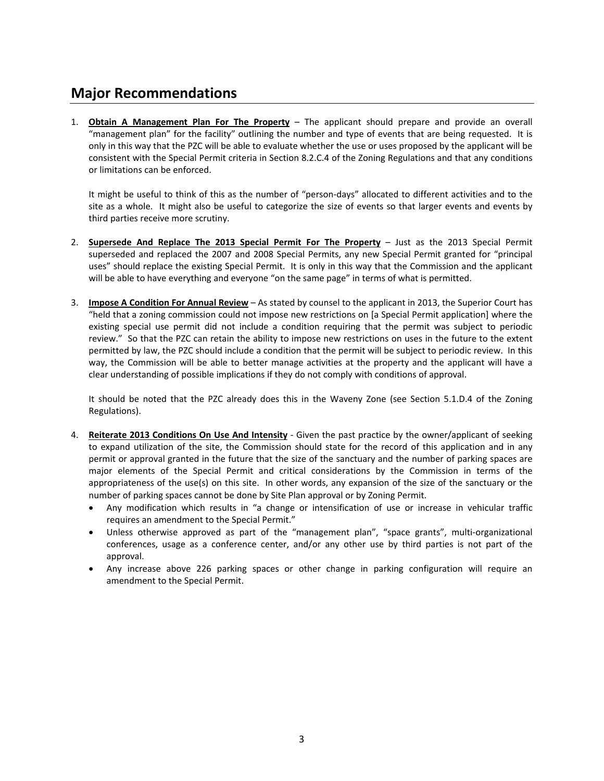## **Major Recommendations**

1. **Obtain A Management Plan For The Property** – The applicant should prepare and provide an overall "management plan" for the facility" outlining the number and type of events that are being requested. It is only in this way that the PZC will be able to evaluate whether the use or uses proposed by the applicant will be consistent with the Special Permit criteria in Section 8.2.C.4 of the Zoning Regulations and that any conditions or limitations can be enforced.

It might be useful to think of this as the number of "person-days" allocated to different activities and to the site as a whole. It might also be useful to categorize the size of events so that larger events and events by third parties receive more scrutiny.

- 2. **Supersede And Replace The 2013 Special Permit For The Property** Just as the 2013 Special Permit superseded and replaced the 2007 and 2008 Special Permits, any new Special Permit granted for "principal uses" should replace the existing Special Permit. It is only in this way that the Commission and the applicant will be able to have everything and everyone "on the same page" in terms of what is permitted.
- 3. **Impose A Condition For Annual Review** As stated by counsel to the applicant in 2013, the Superior Court has "held that a zoning commission could not impose new restrictions on [a Special Permit application] where the existing special use permit did not include a condition requiring that the permit was subject to periodic review." So that the PZC can retain the ability to impose new restrictions on uses in the future to the extent permitted by law, the PZC should include a condition that the permit will be subject to periodic review. In this way, the Commission will be able to better manage activities at the property and the applicant will have a clear understanding of possible implications if they do not comply with conditions of approval.

It should be noted that the PZC already does this in the Waveny Zone (see Section 5.1.D.4 of the Zoning Regulations).

- 4. **Reiterate 2013 Conditions On Use And Intensity** ‐ Given the past practice by the owner/applicant of seeking to expand utilization of the site, the Commission should state for the record of this application and in any permit or approval granted in the future that the size of the sanctuary and the number of parking spaces are major elements of the Special Permit and critical considerations by the Commission in terms of the appropriateness of the use(s) on this site. In other words, any expansion of the size of the sanctuary or the number of parking spaces cannot be done by Site Plan approval or by Zoning Permit.
	- Any modification which results in "a change or intensification of use or increase in vehicular traffic requires an amendment to the Special Permit."
	- Unless otherwise approved as part of the "management plan", "space grants", multi-organizational conferences, usage as a conference center, and/or any other use by third parties is not part of the approval.
	- Any increase above 226 parking spaces or other change in parking configuration will require an amendment to the Special Permit.